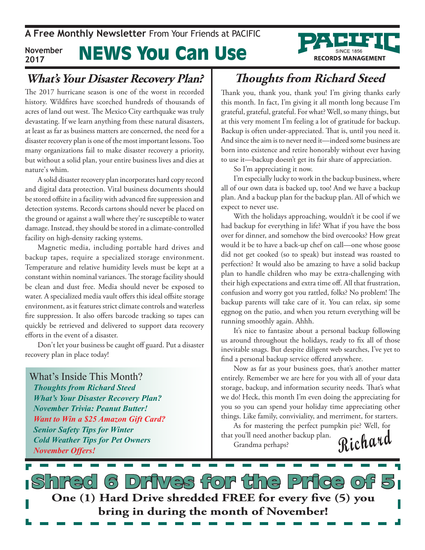#### **What's Your Disaster Recovery Plan?**

The 2017 hurricane season is one of the worst in recorded history. Wildfires have scorched hundreds of thousands of acres of land out west. The Mexico City earthquake was truly devastating. If we learn anything from these natural disasters, at least as far as business matters are concerned, the need for a disaster recovery plan is one of the most important lessons. Too many organizations fail to make disaster recovery a priority, but without a solid plan, your entire business lives and dies at nature's whim.

A solid disaster recovery plan incorporates hard copy record and digital data protection. Vital business documents should be stored offsite in a facility with advanced fire suppression and detection systems. Records cartons should never be placed on the ground or against a wall where they're susceptible to water damage. Instead, they should be stored in a climate-controlled facility on high-density racking systems.

Magnetic media, including portable hard drives and backup tapes, require a specialized storage environment. Temperature and relative humidity levels must be kept at a constant within nominal variances. The storage facility should be clean and dust free. Media should never be exposed to water. A specialized media vault offers this ideal offsite storage environment, as it features strict climate controls and waterless fire suppression. It also offers barcode tracking so tapes can quickly be retrieved and delivered to support data recovery efforts in the event of a disaster.

Don't let your business be caught off guard. Put a disaster recovery plan in place today!

What's Inside This Month? *Thoughts from Richard Steed What's Your Disaster Recovery Plan? November Trivia: Peanut Butter! Want to Win a \$25 Amazon Gift Card? Senior Safety Tips for Winter Cold Weather Tips for Pet Owners November Offers!*

## **Thoughts from Richard Steed**

Thank you, thank you, thank you! I'm giving thanks early this month. In fact, I'm giving it all month long because I'm grateful, grateful, grateful. For what? Well, so many things, but at this very moment I'm feeling a lot of gratitude for backup. Backup is often under-appreciated. That is, until you need it. And since the aim is to never need it—indeed some business are born into existence and retire honorably without ever having to use it—backup doesn't get its fair share of appreciation.

So I'm appreciating it now.

I'm especially lucky to work in the backup business, where all of our own data is backed up, too! And we have a backup plan. And a backup plan for the backup plan. All of which we expect to never use.

With the holidays approaching, wouldn't it be cool if we had backup for everything in life? What if you have the boss over for dinner, and somehow the bird overcooks? How great would it be to have a back-up chef on call—one whose goose did not get cooked (so to speak) but instead was roasted to perfection? It would also be amazing to have a solid backup plan to handle children who may be extra-challenging with their high expectations and extra time off. All that frustration, confusion and worry got you rattled, folks? No problem! The backup parents will take care of it. You can relax, sip some eggnog on the patio, and when you return everything will be running smoothly again. Ahhh.

It's nice to fantasize about a personal backup following us around throughout the holidays, ready to fix all of those inevitable snags. But despite diligent web searches, I've yet to find a personal backup service offered anywhere.

Now as far as your business goes, that's another matter entirely. Remember we are here for you with all of your data storage, backup, and information security needs. That's what we do! Heck, this month I'm even doing the appreciating for you so you can spend your holiday time appreciating other things. Like family, conviviality, and merriment, for starters.

**Richard** As for mastering the perfect pumpkin pie? Well, for that you'll need another backup plan. Grandma perhaps?

d 6 Drives for the Price o **One (1) Hard Drive shredded FREE for every five (5) you bring in during the month of November!**

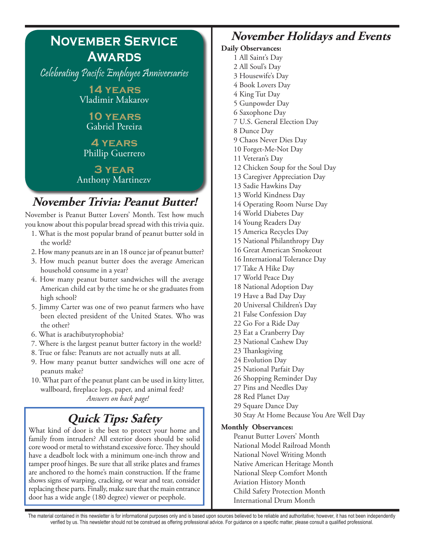# **November Service Awards**

Celebrating Pacific Employee Anniversaries

**14 years** Vladimir Makarov

**10 years** Gabriel Pereira

#### **4 years** Phillip Guerrero

**3 year** Anthony Martinezv

## **November Trivia: Peanut Butter!**

November is Peanut Butter Lovers' Month. Test how much you know about this popular bread spread with this trivia quiz.

- 1. What is the most popular brand of peanut butter sold in the world?
- 2. How many peanuts are in an 18 ounce jar of peanut butter?
- 3. How much peanut butter does the average American household consume in a year?
- 4. How many peanut butter sandwiches will the average American child eat by the time he or she graduates from high school?
- 5. Jimmy Carter was one of two peanut farmers who have been elected president of the United States. Who was the other?
- 6. What is arachibutyrophobia?
- 7. Where is the largest peanut butter factory in the world?
- 8. True or false: Peanuts are not actually nuts at all.
- 9. How many peanut butter sandwiches will one acre of peanuts make?
- 10. What part of the peanut plant can be used in kitty litter, wallboard, fireplace logs, paper, and animal feed? *Answers on back page!*

# **Quick Tips: Safety**

What kind of door is the best to protect your home and family from intruders? All exterior doors should be solid core wood or metal to withstand excessive force. They should have a deadbolt lock with a minimum one-inch throw and tamper proof hinges. Be sure that all strike plates and frames are anchored to the home's main construction. If the frame shows signs of warping, cracking, or wear and tear, consider replacing these parts. Finally, make sure that the main entrance door has a wide angle (180 degree) viewer or peephole.

## **November Holidays and Events**

#### **Daily Observances:** 1 All Saint's Day

2 All Soul's Day

3 Housewife's Day 4 Book Lovers Day 4 King Tut Day 5 Gunpowder Day 6 Saxophone Day 7 U.S. General Election Day 8 Dunce Day 9 Chaos Never Dies Day 10 Forget-Me-Not Day 11 Veteran's Day 12 Chicken Soup for the Soul Day 13 Caregiver Appreciation Day 13 Sadie Hawkins Day 13 World Kindness Day 14 Operating Room Nurse Day 14 World Diabetes Day 14 Young Readers Day 15 America Recycles Day 15 National Philanthropy Day 16 Great American Smokeout 16 International Tolerance Day 17 Take A Hike Day 17 World Peace Day 18 National Adoption Day 19 Have a Bad Day Day 20 Universal Children's Day 21 False Confession Day 22 Go For a Ride Day 23 Eat a Cranberry Day 23 National Cashew Day 23 Thanksgiving 24 Evolution Day 25 National Parfait Day 26 Shopping Reminder Day 27 Pins and Needles Day 28 Red Planet Day 29 Square Dance Day 30 Stay At Home Because You Are Well Day **Monthly Observances:** Peanut Butter Lovers' Month National Model Railroad Month National Novel Writing Month Native American Heritage Month National Sleep Comfort Month Aviation History Month Child Safety Protection Month International Drum Month

The material contained in this newsletter is for informational purposes only and is based upon sources believed to be reliable and authoritative; however, it has not been independently verified by us. This newsletter should not be construed as offering professional advice. For guidance on a specific matter, please consult a qualified professional.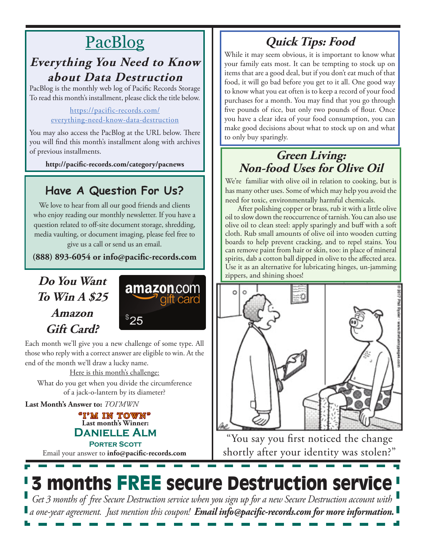# PacBlog

#### **Everything You Need to Know about Data Destruction**

PacBlog is the monthly web log of Pacific Records Storage To read this month's installment, please click the title below.

#### https://pacific-records.com/ everything-need-know-data-destruction

You may also access the PacBlog at the URL below. There you will find this month's installment along with archives of previous installments.

**http://pacific-records.com/category/pacnews**

### **Have A Question For Us?**

We love to hear from all our good friends and clients who enjoy reading our monthly newsletter. If you have a question related to off-site document storage, shredding, media vaulting, or document imaging, please feel free to give us a call or send us an email.

**(888) 893-6054 or info@pacific-records.com**

### **Do You Want To Win A \$25 Amazon Gift Card?**



Each month we'll give you a new challenge of some type. All those who reply with a correct answer are eligible to win. At the end of the month we'll draw a lucky name.

Here is this month's challenge: What do you get when you divide the circumference of a jack-o-lantern by its diameter?

**Last Month's Answer to:** *TOI'MWN*

#### **Last month's Winner: Danielle Alm PORTER SCOTT** "I'M IN TOWN"

Email your answer to **info@pacific-records.com**

## **Quick Tips: Food**

While it may seem obvious, it is important to know what your family eats most. It can be tempting to stock up on items that are a good deal, but if you don't eat much of that food, it will go bad before you get to it all. One good way to know what you eat often is to keep a record of your food purchases for a month. You may find that you go through five pounds of rice, but only two pounds of flour. Once you have a clear idea of your food consumption, you can make good decisions about what to stock up on and what to only buy sparingly.

#### **Green Living: Non-food Uses for Olive Oil**

We're familiar with olive oil in relation to cooking, but is has many other uses. Some of which may help you avoid the need for toxic, environmentally harmful chemicals.

After polishing copper or brass, rub it with a little olive oil to slow down the reoccurrence of tarnish. You can also use olive oil to clean steel: apply sparingly and buff with a soft cloth. Rub small amounts of olive oil into wooden cutting boards to help prevent cracking, and to repel stains. You can remove paint from hair or skin, too: in place of mineral spirits, dab a cotton ball dipped in olive to the affected area. Use it as an alternative for lubricating hinges, un-jamming zippers, and shining shoes!



"You say you first noticed the change shortly after your identity was stolen?"

# **3 months FREE secure Destruction service**

*Get 3 months of free Secure Destruction service when you sign up for a new Secure Destruction account with a one-year agreement. Just mention this coupon! Email info@pacific-records.com for more information.*